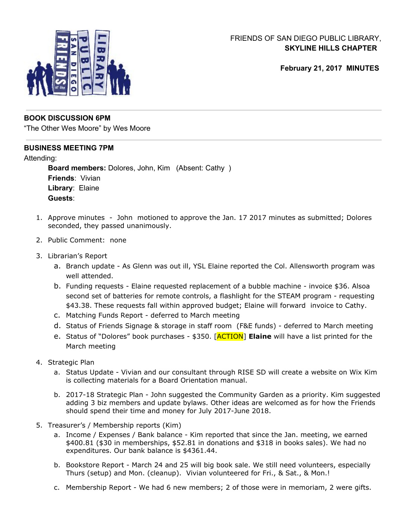

# FRIENDS OF SAN DIEGO PUBLIC LIBRARY, **SKYLINE HILLS CHAPTER**

**February 21, 2017 MINUTES**

### **BOOK DISCUSSION 6PM**

"The Other Wes Moore" by Wes Moore

## **BUSINESS MEETING 7PM**

#### Attending:

**Board members:** Dolores, John, Kim (Absent: Cathy ) **Friends**: Vivian **Library**: Elaine **Guests**:

- 1. Approve minutes John motioned to approve the Jan. 17 2017 minutes as submitted; Dolores seconded, they passed unanimously.
- 2. Public Comment: none
- 3. Librarian's Report
	- a. Branch update As Glenn was out ill, YSL Elaine reported the Col. Allensworth program was well attended.
	- b. Funding requests Elaine requested replacement of a bubble machine invoice \$36. Alsoa second set of batteries for remote controls, a flashlight for the STEAM program - requesting \$43.38. These requests fall within approved budget; Elaine will forward invoice to Cathy.
	- c. Matching Funds Report deferred to March meeting
	- d. Status of Friends Signage & storage in staff room (F&E funds) deferred to March meeting
	- e. Status of "Dolores" book purchases \$350. [ACTION] **Elaine** will have a list printed for the March meeting
- 4. Strategic Plan
	- a. Status Update Vivian and our consultant through RISE SD will create a website on Wix Kim is collecting materials for a Board Orientation manual.
	- b. 2017-18 Strategic Plan John suggested the Community Garden as a priority. Kim suggested adding 3 biz members and update bylaws. Other ideas are welcomed as for how the Friends should spend their time and money for July 2017-June 2018.
- 5. Treasurer's / Membership reports (Kim)
	- a. Income / Expenses / Bank balance Kim reported that since the Jan. meeting, we earned \$400.81 (\$30 in memberships, \$52.81 in donations and \$318 in books sales). We had no expenditures. Our bank balance is \$4361.44.
	- b. Bookstore Report March 24 and 25 will big book sale. We still need volunteers, especially Thurs (setup) and Mon. (cleanup). Vivian volunteered for Fri., & Sat., & Mon.!
	- c. Membership Report We had 6 new members; 2 of those were in memoriam, 2 were gifts.